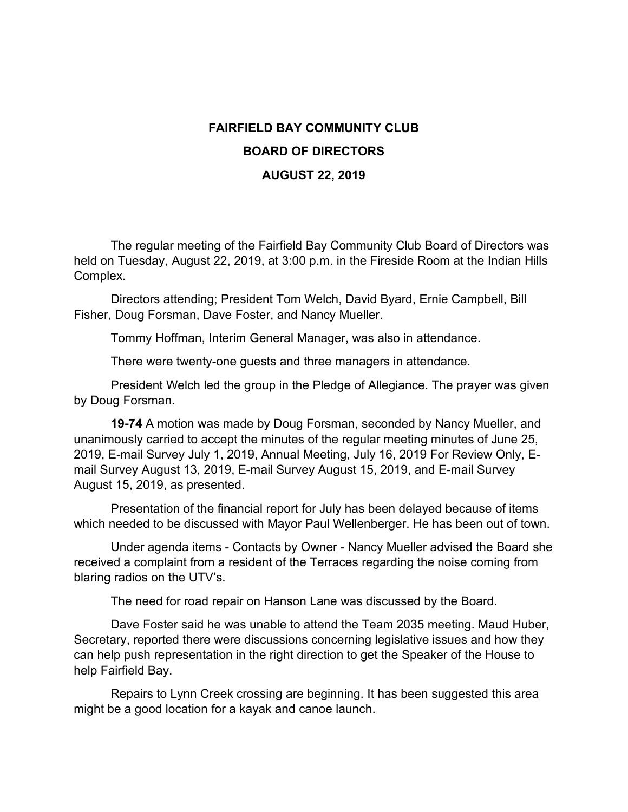## **FAIRFIELD BAY COMMUNITY CLUB BOARD OF DIRECTORS AUGUST 22, 2019**

The regular meeting of the Fairfield Bay Community Club Board of Directors was held on Tuesday, August 22, 2019, at 3:00 p.m. in the Fireside Room at the Indian Hills Complex.

Directors attending; President Tom Welch, David Byard, Ernie Campbell, Bill Fisher, Doug Forsman, Dave Foster, and Nancy Mueller.

Tommy Hoffman, Interim General Manager, was also in attendance.

There were twenty-one guests and three managers in attendance.

President Welch led the group in the Pledge of Allegiance. The prayer was given by Doug Forsman.

**19-74** A motion was made by Doug Forsman, seconded by Nancy Mueller, and unanimously carried to accept the minutes of the regular meeting minutes of June 25, 2019, E-mail Survey July 1, 2019, Annual Meeting, July 16, 2019 For Review Only, Email Survey August 13, 2019, E-mail Survey August 15, 2019, and E-mail Survey August 15, 2019, as presented.

Presentation of the financial report for July has been delayed because of items which needed to be discussed with Mayor Paul Wellenberger. He has been out of town.

Under agenda items - Contacts by Owner - Nancy Mueller advised the Board she received a complaint from a resident of the Terraces regarding the noise coming from blaring radios on the UTV's.

The need for road repair on Hanson Lane was discussed by the Board.

Dave Foster said he was unable to attend the Team 2035 meeting. Maud Huber, Secretary, reported there were discussions concerning legislative issues and how they can help push representation in the right direction to get the Speaker of the House to help Fairfield Bay.

Repairs to Lynn Creek crossing are beginning. It has been suggested this area might be a good location for a kayak and canoe launch.